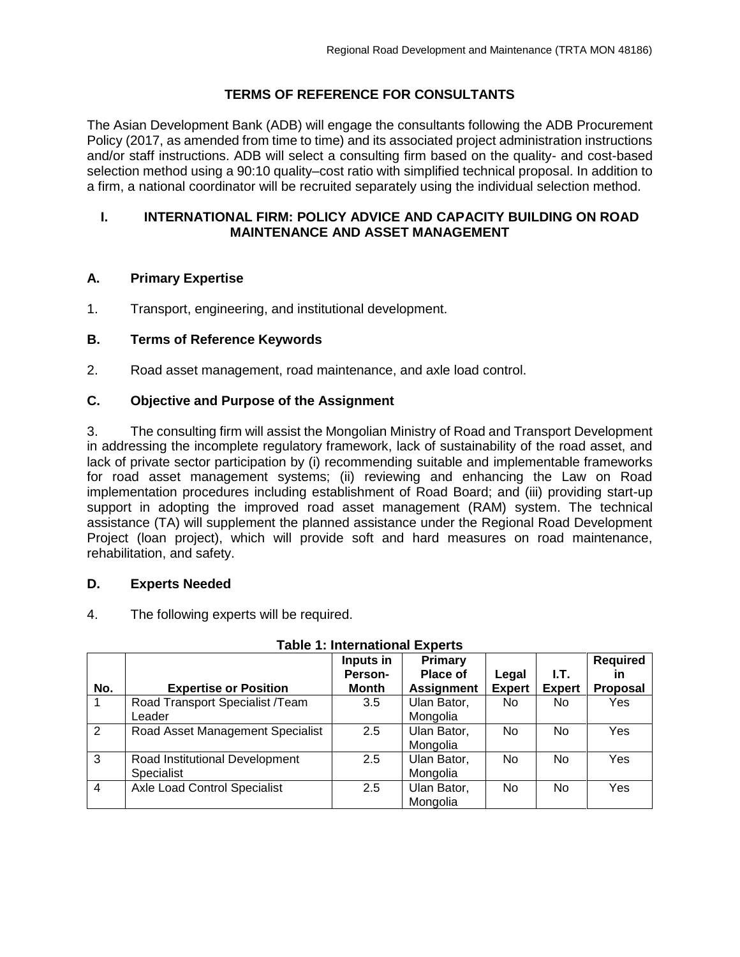# **TERMS OF REFERENCE FOR CONSULTANTS**

The Asian Development Bank (ADB) will engage the consultants following the ADB Procurement Policy (2017, as amended from time to time) and its associated project administration instructions and/or staff instructions. ADB will select a consulting firm based on the quality- and cost-based selection method using a 90:10 quality–cost ratio with simplified technical proposal. In addition to a firm, a national coordinator will be recruited separately using the individual selection method.

### **I. INTERNATIONAL FIRM: POLICY ADVICE AND CAPACITY BUILDING ON ROAD MAINTENANCE AND ASSET MANAGEMENT**

# **A. Primary Expertise**

1. Transport, engineering, and institutional development.

# **B. Terms of Reference Keywords**

2. Road asset management, road maintenance, and axle load control.

## **C. Objective and Purpose of the Assignment**

3. The consulting firm will assist the Mongolian Ministry of Road and Transport Development in addressing the incomplete regulatory framework, lack of sustainability of the road asset, and lack of private sector participation by (i) recommending suitable and implementable frameworks for road asset management systems; (ii) reviewing and enhancing the Law on Road implementation procedures including establishment of Road Board; and (iii) providing start-up support in adopting the improved road asset management (RAM) system. The technical assistance (TA) will supplement the planned assistance under the Regional Road Development Project (loan project), which will provide soft and hard measures on road maintenance, rehabilitation, and safety.

### **D. Experts Needed**

4. The following experts will be required.

|                |                                     | Inputs in<br>Person- | Primary<br>Place of | Legal          | $L$ T.         | <b>Required</b><br>in |
|----------------|-------------------------------------|----------------------|---------------------|----------------|----------------|-----------------------|
| No.            | <b>Expertise or Position</b>        | Month                | <b>Assignment</b>   | <b>Expert</b>  | <b>Expert</b>  | <b>Proposal</b>       |
|                | Road Transport Specialist /Team     | 3.5                  | Ulan Bator,         | No.            | No             | Yes                   |
|                | Leader                              |                      | Mongolia            |                |                |                       |
| 2              | Road Asset Management Specialist    | 2.5                  | Ulan Bator,         | N <sub>o</sub> | No             | Yes                   |
|                |                                     |                      | Mongolia            |                |                |                       |
| 3              | Road Institutional Development      | 2.5                  | Ulan Bator,         | No.            | <b>No</b>      | Yes                   |
|                | Specialist                          |                      | Mongolia            |                |                |                       |
| $\overline{4}$ | <b>Axle Load Control Specialist</b> | 2.5                  | Ulan Bator,         | N <sub>o</sub> | N <sub>o</sub> | Yes                   |
|                |                                     |                      | Mongolia            |                |                |                       |

### **Table 1: International Experts**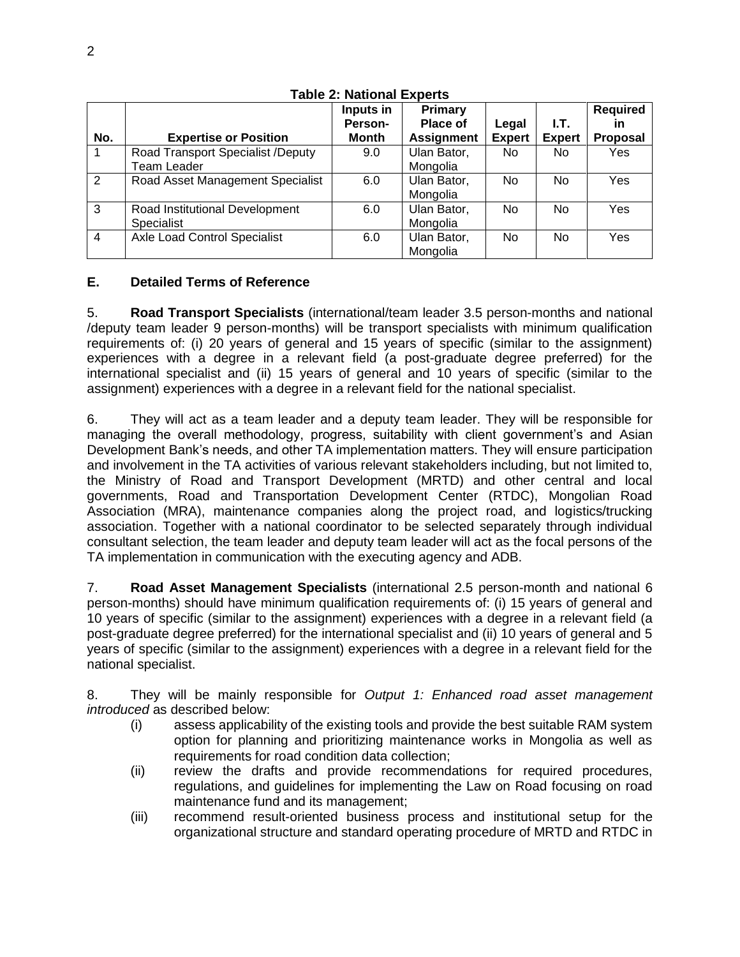|                |                                                  | Inputs in<br>Person- | Primary<br>Place of     | Legal          | $L$ T.        | <b>Required</b><br>in |
|----------------|--------------------------------------------------|----------------------|-------------------------|----------------|---------------|-----------------------|
| No.            | <b>Expertise or Position</b>                     | Month                | <b>Assignment</b>       | <b>Expert</b>  | <b>Expert</b> | <b>Proposal</b>       |
|                | Road Transport Specialist /Deputy<br>Team Leader | 9.0                  | Ulan Bator,<br>Mongolia | No.            | No.           | Yes                   |
| $\overline{2}$ | Road Asset Management Specialist                 | 6.0                  | Ulan Bator,<br>Mongolia | N <sub>o</sub> | No            | Yes                   |
| 3              | Road Institutional Development<br>Specialist     | 6.0                  | Ulan Bator,<br>Mongolia | No.            | No            | Yes                   |
| $\overline{4}$ | <b>Axle Load Control Specialist</b>              | 6.0                  | Ulan Bator,<br>Mongolia | N <sub>o</sub> | No            | Yes                   |

## **Table 2: National Experts**

## **E. Detailed Terms of Reference**

5. **Road Transport Specialists** (international/team leader 3.5 person-months and national /deputy team leader 9 person-months) will be transport specialists with minimum qualification requirements of: (i) 20 years of general and 15 years of specific (similar to the assignment) experiences with a degree in a relevant field (a post-graduate degree preferred) for the international specialist and (ii) 15 years of general and 10 years of specific (similar to the assignment) experiences with a degree in a relevant field for the national specialist.

6. They will act as a team leader and a deputy team leader. They will be responsible for managing the overall methodology, progress, suitability with client government's and Asian Development Bank's needs, and other TA implementation matters. They will ensure participation and involvement in the TA activities of various relevant stakeholders including, but not limited to, the Ministry of Road and Transport Development (MRTD) and other central and local governments, Road and Transportation Development Center (RTDC), Mongolian Road Association (MRA), maintenance companies along the project road, and logistics/trucking association. Together with a national coordinator to be selected separately through individual consultant selection, the team leader and deputy team leader will act as the focal persons of the TA implementation in communication with the executing agency and ADB.

7. **Road Asset Management Specialists** (international 2.5 person-month and national 6 person-months) should have minimum qualification requirements of: (i) 15 years of general and 10 years of specific (similar to the assignment) experiences with a degree in a relevant field (a post-graduate degree preferred) for the international specialist and (ii) 10 years of general and 5 years of specific (similar to the assignment) experiences with a degree in a relevant field for the national specialist.

8. They will be mainly responsible for *Output 1: Enhanced road asset management introduced* as described below:

- (i) assess applicability of the existing tools and provide the best suitable RAM system option for planning and prioritizing maintenance works in Mongolia as well as requirements for road condition data collection;
- (ii) review the drafts and provide recommendations for required procedures, regulations, and guidelines for implementing the Law on Road focusing on road maintenance fund and its management;
- (iii) recommend result-oriented business process and institutional setup for the organizational structure and standard operating procedure of MRTD and RTDC in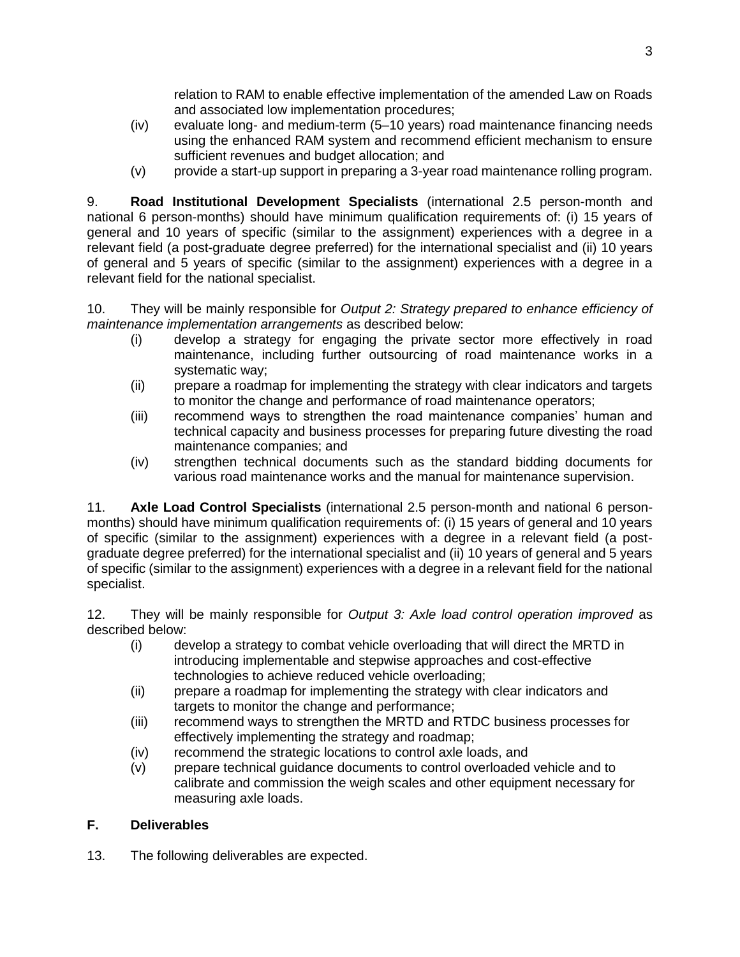relation to RAM to enable effective implementation of the amended Law on Roads and associated low implementation procedures;

- (iv) evaluate long- and medium-term (5–10 years) road maintenance financing needs using the enhanced RAM system and recommend efficient mechanism to ensure sufficient revenues and budget allocation; and
- (v) provide a start-up support in preparing a 3-year road maintenance rolling program.

9. **Road Institutional Development Specialists** (international 2.5 person-month and national 6 person-months) should have minimum qualification requirements of: (i) 15 years of general and 10 years of specific (similar to the assignment) experiences with a degree in a relevant field (a post-graduate degree preferred) for the international specialist and (ii) 10 years of general and 5 years of specific (similar to the assignment) experiences with a degree in a relevant field for the national specialist.

10. They will be mainly responsible for *Output 2: Strategy prepared to enhance efficiency of maintenance implementation arrangements* as described below:

- (i) develop a strategy for engaging the private sector more effectively in road maintenance, including further outsourcing of road maintenance works in a systematic way;
- (ii) prepare a roadmap for implementing the strategy with clear indicators and targets to monitor the change and performance of road maintenance operators;
- (iii) recommend ways to strengthen the road maintenance companies' human and technical capacity and business processes for preparing future divesting the road maintenance companies; and
- (iv) strengthen technical documents such as the standard bidding documents for various road maintenance works and the manual for maintenance supervision.

11. **Axle Load Control Specialists** (international 2.5 person-month and national 6 personmonths) should have minimum qualification requirements of: (i) 15 years of general and 10 years of specific (similar to the assignment) experiences with a degree in a relevant field (a postgraduate degree preferred) for the international specialist and (ii) 10 years of general and 5 years of specific (similar to the assignment) experiences with a degree in a relevant field for the national specialist.

12. They will be mainly responsible for *Output 3: Axle load control operation improved* as described below:

- (i) develop a strategy to combat vehicle overloading that will direct the MRTD in introducing implementable and stepwise approaches and cost-effective technologies to achieve reduced vehicle overloading;
- (ii) prepare a roadmap for implementing the strategy with clear indicators and targets to monitor the change and performance;
- (iii) recommend ways to strengthen the MRTD and RTDC business processes for effectively implementing the strategy and roadmap;
- (iv) recommend the strategic locations to control axle loads, and
- (v) prepare technical guidance documents to control overloaded vehicle and to calibrate and commission the weigh scales and other equipment necessary for measuring axle loads.

# **F. Deliverables**

13. The following deliverables are expected.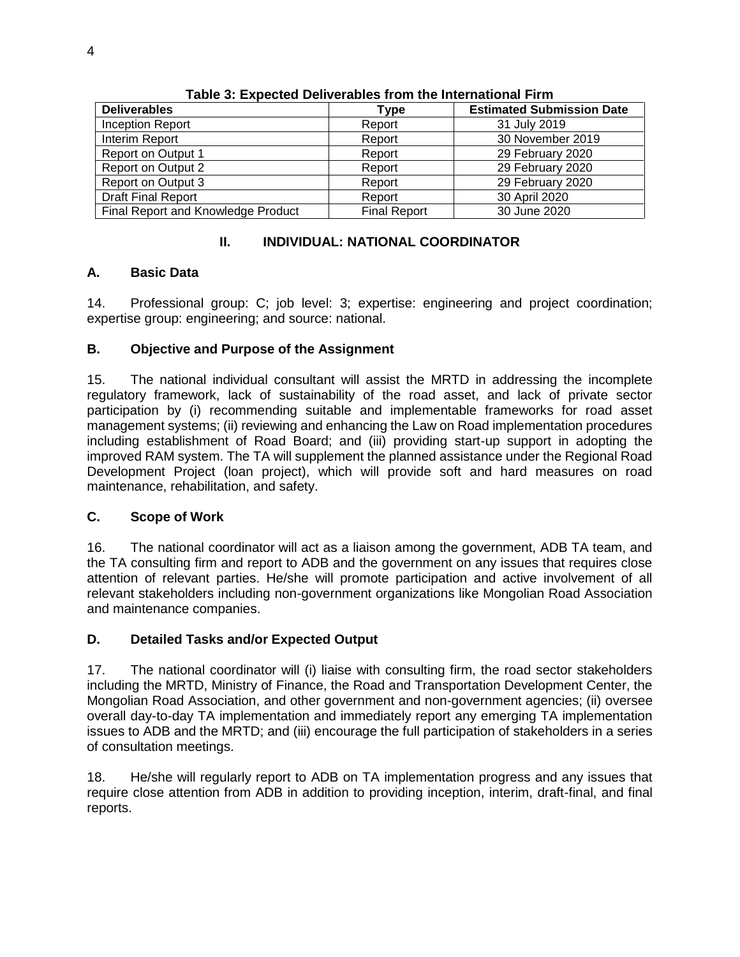| <b>Deliverables</b>                | Type                | <b>Estimated Submission Date</b> |  |  |
|------------------------------------|---------------------|----------------------------------|--|--|
| Inception Report                   | Report              | 31 July 2019                     |  |  |
| Interim Report                     | Report              | 30 November 2019                 |  |  |
| Report on Output 1                 | Report              | 29 February 2020                 |  |  |
| Report on Output 2                 | Report              | 29 February 2020                 |  |  |
| <b>Report on Output 3</b>          | Report              | 29 February 2020                 |  |  |
| <b>Draft Final Report</b>          | Report              | 30 April 2020                    |  |  |
| Final Report and Knowledge Product | <b>Final Report</b> | 30 June 2020                     |  |  |

**Table 3: Expected Deliverables from the International Firm**

## **II. INDIVIDUAL: NATIONAL COORDINATOR**

## **A. Basic Data**

14. Professional group: C; job level: 3; expertise: engineering and project coordination; expertise group: engineering; and source: national.

# **B. Objective and Purpose of the Assignment**

15. The national individual consultant will assist the MRTD in addressing the incomplete regulatory framework, lack of sustainability of the road asset, and lack of private sector participation by (i) recommending suitable and implementable frameworks for road asset management systems; (ii) reviewing and enhancing the Law on Road implementation procedures including establishment of Road Board; and (iii) providing start-up support in adopting the improved RAM system. The TA will supplement the planned assistance under the Regional Road Development Project (loan project), which will provide soft and hard measures on road maintenance, rehabilitation, and safety.

### **C. Scope of Work**

16. The national coordinator will act as a liaison among the government, ADB TA team, and the TA consulting firm and report to ADB and the government on any issues that requires close attention of relevant parties. He/she will promote participation and active involvement of all relevant stakeholders including non-government organizations like Mongolian Road Association and maintenance companies.

# **D. Detailed Tasks and/or Expected Output**

17. The national coordinator will (i) liaise with consulting firm, the road sector stakeholders including the MRTD, Ministry of Finance, the Road and Transportation Development Center, the Mongolian Road Association, and other government and non-government agencies; (ii) oversee overall day-to-day TA implementation and immediately report any emerging TA implementation issues to ADB and the MRTD; and (iii) encourage the full participation of stakeholders in a series of consultation meetings.

18. He/she will regularly report to ADB on TA implementation progress and any issues that require close attention from ADB in addition to providing inception, interim, draft-final, and final reports.